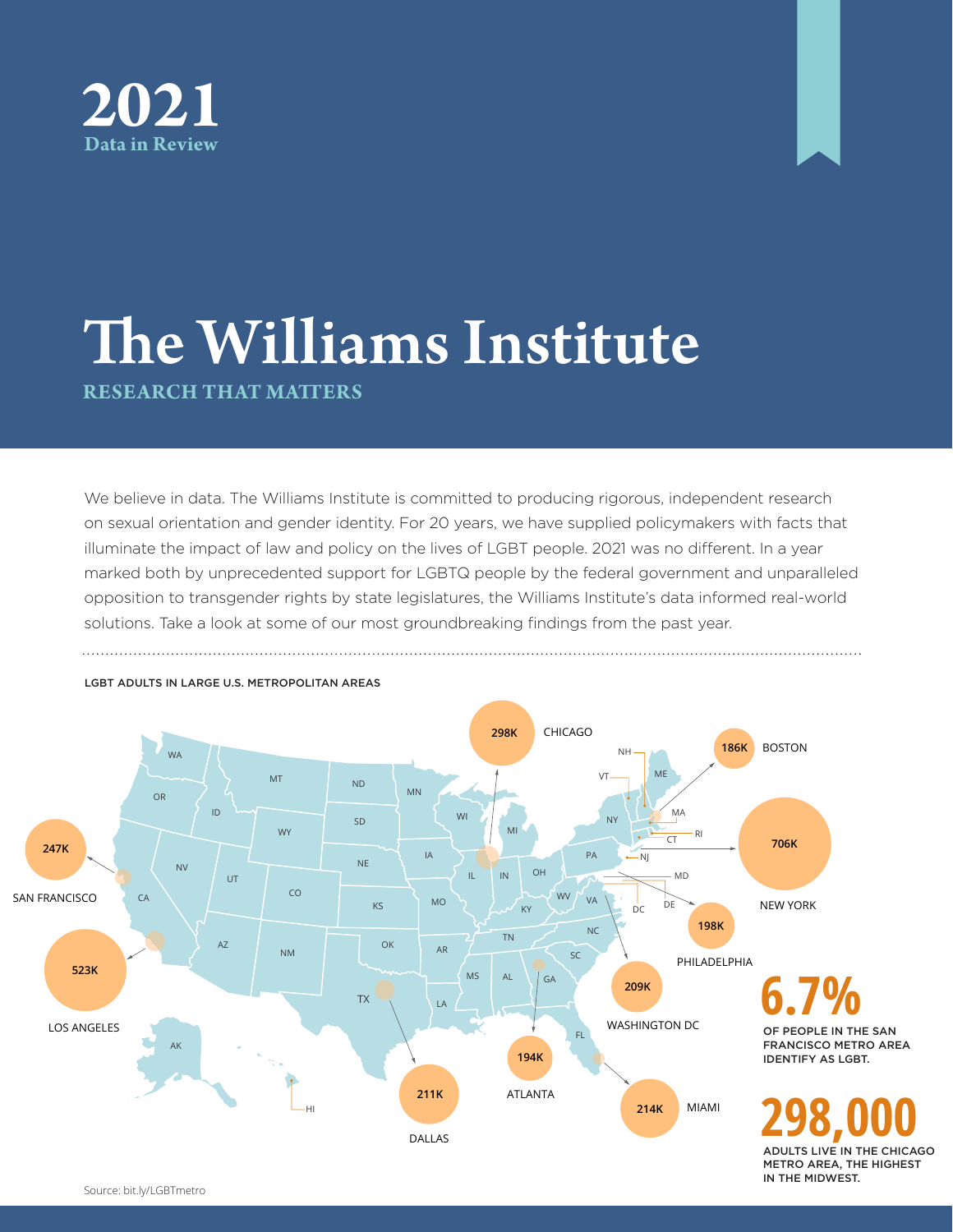



## The Williams Institute **RESEARCH THAT MATTERS**

We believe in data. The Williams Institute is committed to producing rigorous, independent research on sexual orientation and gender identity. For 20 years, we have supplied policymakers with facts that illuminate the impact of law and policy on the lives of LGBT people. 2021 was no different. In a year marked both by unprecedented support for LGBTQ people by the federal government and unparalleled opposition to transgender rights by state legislatures, the Williams Institute's data informed real-world solutions. Take a look at some of our most groundbreaking findings from the past year.



Source: bit.ly/LGBTmetro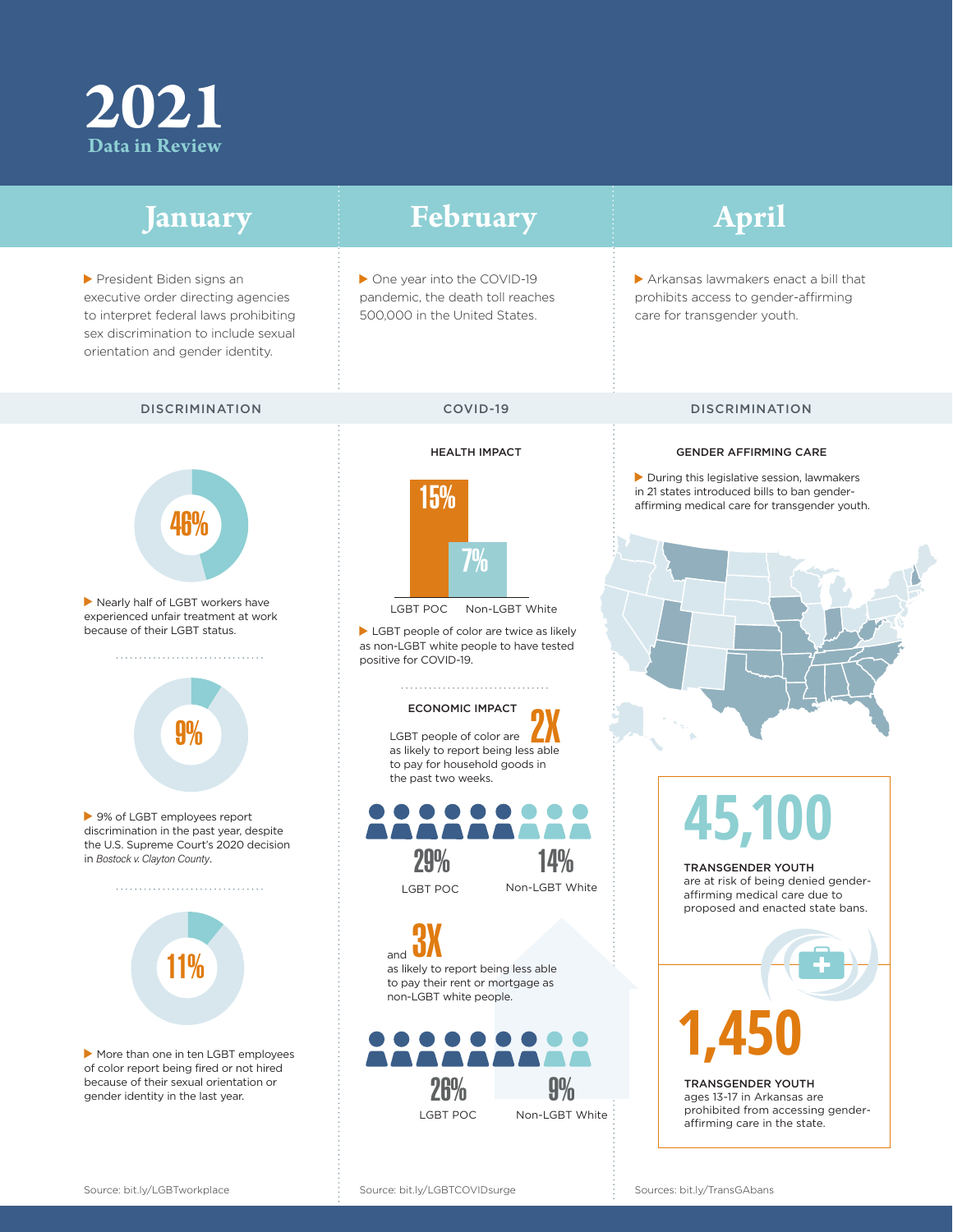## **2021 Data in Review**

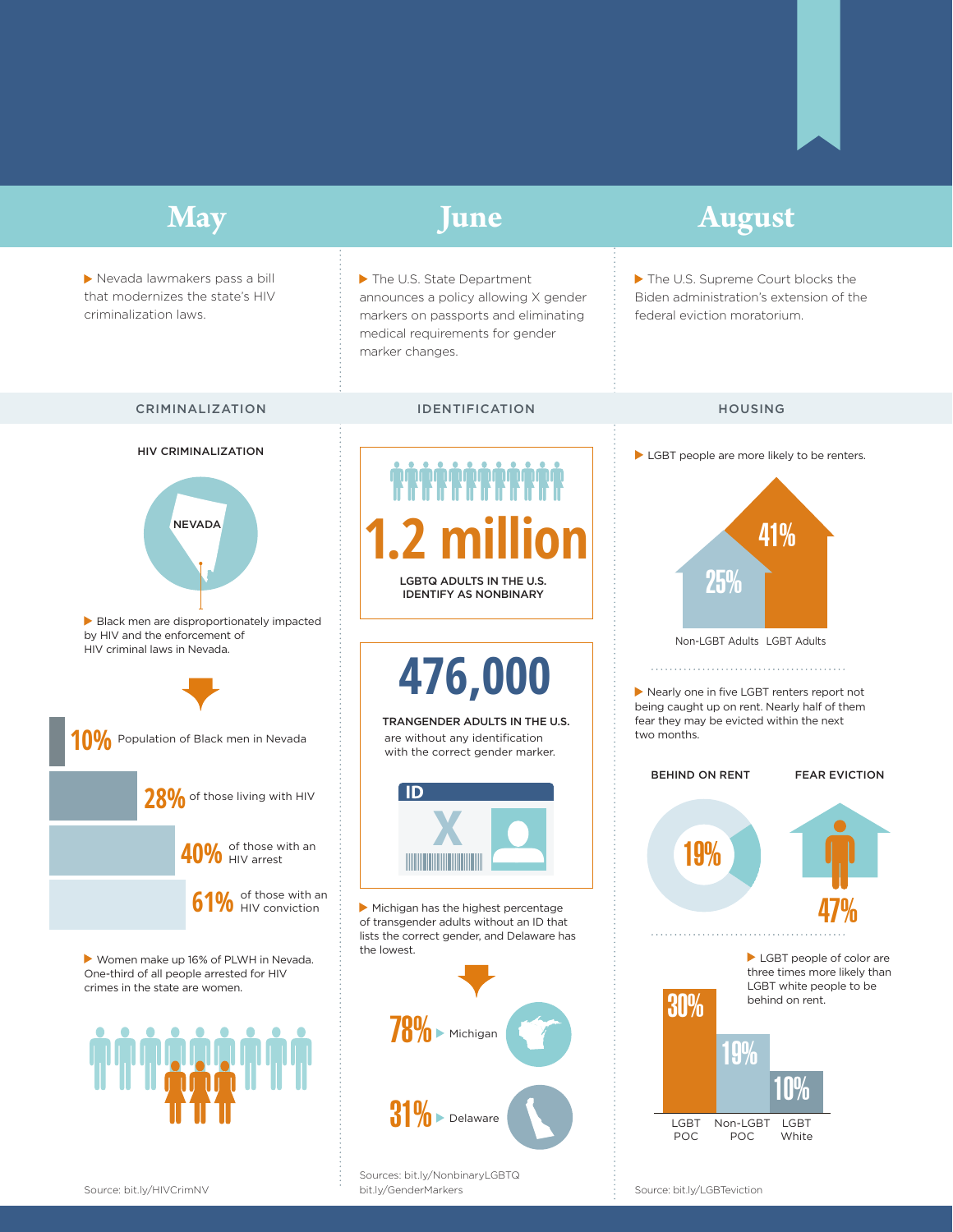

Source: bit.ly/HIVCrimNV bit.ly/GenderMarkers Source: bit.ly/LGBTeviction Sources: bit.ly/NonbinaryLGBTQ